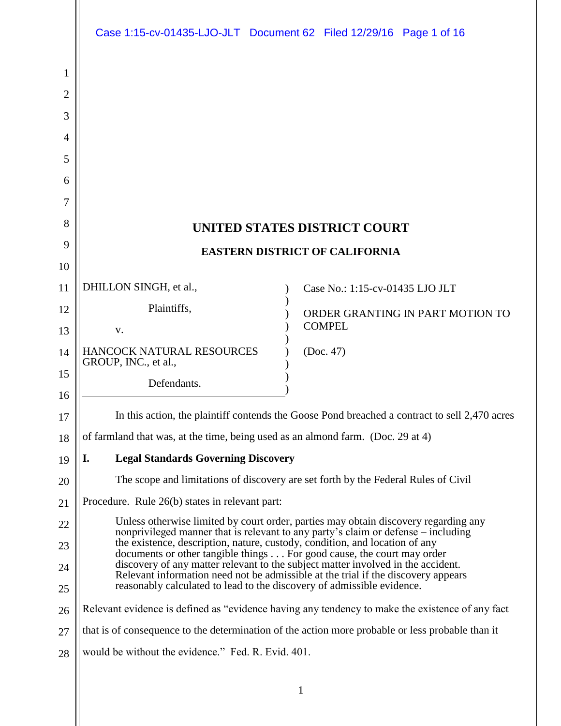|                |                                                                                 | Case 1:15-cv-01435-LJO-JLT Document 62 Filed 12/29/16 Page 1 of 16                                                                                                       |
|----------------|---------------------------------------------------------------------------------|--------------------------------------------------------------------------------------------------------------------------------------------------------------------------|
| 1              |                                                                                 |                                                                                                                                                                          |
| $\overline{2}$ |                                                                                 |                                                                                                                                                                          |
| 3              |                                                                                 |                                                                                                                                                                          |
| $\overline{4}$ |                                                                                 |                                                                                                                                                                          |
| 5              |                                                                                 |                                                                                                                                                                          |
| 6              |                                                                                 |                                                                                                                                                                          |
| 7              |                                                                                 |                                                                                                                                                                          |
| 8              |                                                                                 | UNITED STATES DISTRICT COURT                                                                                                                                             |
| 9              |                                                                                 | <b>EASTERN DISTRICT OF CALIFORNIA</b>                                                                                                                                    |
| 10             |                                                                                 |                                                                                                                                                                          |
| 11             | DHILLON SINGH, et al.,                                                          | Case No.: 1:15-cv-01435 LJO JLT                                                                                                                                          |
| 12             | Plaintiffs,                                                                     | ORDER GRANTING IN PART MOTION TO                                                                                                                                         |
| 13             | V.                                                                              | <b>COMPEL</b>                                                                                                                                                            |
| 14             | HANCOCK NATURAL RESOURCES<br>GROUP, INC., et al.,                               | (Doc. 47)                                                                                                                                                                |
| 15             | Defendants.                                                                     |                                                                                                                                                                          |
| 16             |                                                                                 |                                                                                                                                                                          |
| 17             |                                                                                 | In this action, the plaintiff contends the Goose Pond breached a contract to sell 2,470 acres                                                                            |
| 18             | of farmland that was, at the time, being used as an almond farm. (Doc. 29 at 4) |                                                                                                                                                                          |
| 19             | I.<br><b>Legal Standards Governing Discovery</b>                                |                                                                                                                                                                          |
| 20             |                                                                                 | The scope and limitations of discovery are set forth by the Federal Rules of Civil                                                                                       |
| 21             | Procedure. Rule 26(b) states in relevant part:                                  |                                                                                                                                                                          |
| 22             |                                                                                 | Unless otherwise limited by court order, parties may obtain discovery regarding any<br>nonprivileged manner that is relevant to any party's claim or defense – including |
| 23             | the existence, description, nature, custody, condition, and location of any     | documents or other tangible things For good cause, the court may order                                                                                                   |
| 24<br>25       | reasonably calculated to lead to the discovery of admissible evidence.          | discovery of any matter relevant to the subject matter involved in the accident.<br>Relevant information need not be admissible at the trial if the discovery appears    |
| 26             |                                                                                 | Relevant evidence is defined as "evidence having any tendency to make the existence of any fact                                                                          |
| 27             |                                                                                 | that is of consequence to the determination of the action more probable or less probable than it                                                                         |
| 28             | would be without the evidence." Fed. R. Evid. 401.                              |                                                                                                                                                                          |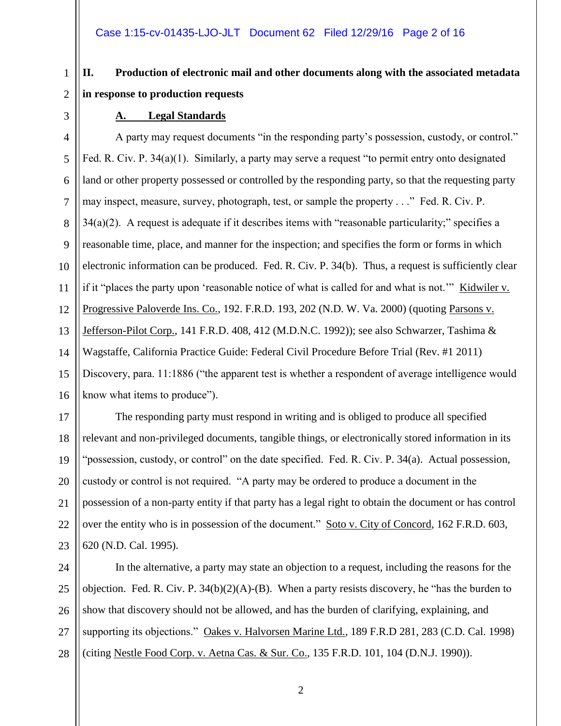## **II. Production of electronic mail and other documents along with the associated metadata in response to production requests**

#### **A. Legal Standards**

A party may request documents "in the responding party's possession, custody, or control." Fed. R. Civ. P. 34(a)(1). Similarly, a party may serve a request "to permit entry onto designated land or other property possessed or controlled by the responding party, so that the requesting party may inspect, measure, survey, photograph, test, or sample the property . . ." Fed. R. Civ. P.  $34(a)(2)$ . A request is adequate if it describes items with "reasonable particularity;" specifies a reasonable time, place, and manner for the inspection; and specifies the form or forms in which electronic information can be produced. Fed. R. Civ. P. 34(b). Thus, a request is sufficiently clear if it "places the party upon 'reasonable notice of what is called for and what is not.'" Kidwiler v. Progressive Paloverde Ins. Co., 192. F.R.D. 193, 202 (N.D. W. Va. 2000) (quoting Parsons v. Jefferson-Pilot Corp., 141 F.R.D. 408, 412 (M.D.N.C. 1992)); see also Schwarzer, Tashima & Wagstaffe, California Practice Guide: Federal Civil Procedure Before Trial (Rev. #1 2011) Discovery, para. 11:1886 ("the apparent test is whether a respondent of average intelligence would know what items to produce").

The responding party must respond in writing and is obliged to produce all specified relevant and non-privileged documents, tangible things, or electronically stored information in its "possession, custody, or control" on the date specified. Fed. R. Civ. P. 34(a). Actual possession, custody or control is not required. "A party may be ordered to produce a document in the possession of a non-party entity if that party has a legal right to obtain the document or has control over the entity who is in possession of the document." Soto v. City of Concord, 162 F.R.D. 603,

620 (N.D. Cal. 1995).

24 25 26 27 28 In the alternative, a party may state an objection to a request, including the reasons for the objection. Fed. R. Civ. P.  $34(b)(2)(A)$ -(B). When a party resists discovery, he "has the burden to show that discovery should not be allowed, and has the burden of clarifying, explaining, and supporting its objections." Oakes v. Halvorsen Marine Ltd., 189 F.R.D 281, 283 (C.D. Cal. 1998) (citing Nestle Food Corp. v. Aetna Cas. & Sur. Co., 135 F.R.D. 101, 104 (D.N.J. 1990)).

23

1

2

3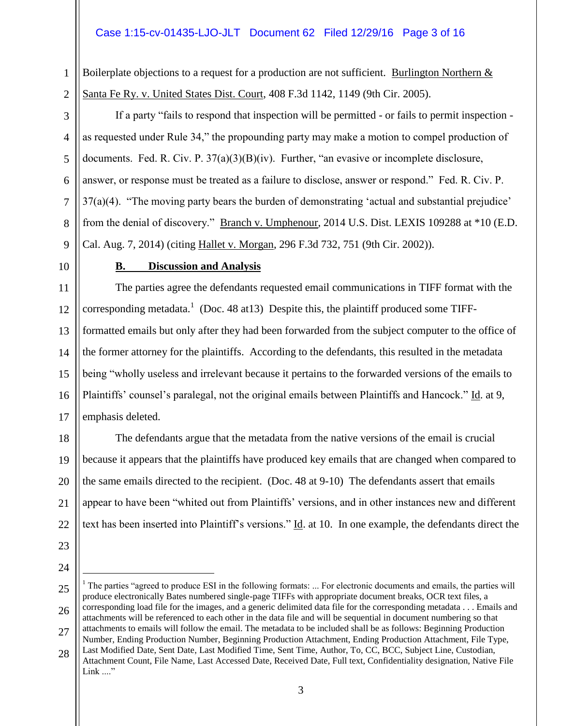#### Case 1:15-cv-01435-LJO-JLT Document 62 Filed 12/29/16 Page 3 of 16

Boilerplate objections to a request for a production are not sufficient. Burlington Northern  $&$ Santa Fe Ry. v. United States Dist. Court, 408 F.3d 1142, 1149 (9th Cir. 2005).

If a party "fails to respond that inspection will be permitted - or fails to permit inspection as requested under Rule 34," the propounding party may make a motion to compel production of documents. Fed. R. Civ. P. 37(a)(3)(B)(iv). Further, "an evasive or incomplete disclosure, answer, or response must be treated as a failure to disclose, answer or respond." Fed. R. Civ. P. 37(a)(4). "The moving party bears the burden of demonstrating 'actual and substantial prejudice' from the denial of discovery." Branch v. Umphenour, 2014 U.S. Dist. LEXIS 109288 at \*10 (E.D. Cal. Aug. 7, 2014) (citing Hallet v. Morgan, 296 F.3d 732, 751 (9th Cir. 2002)).

10

9

1

2

3

4

5

6

7

8

#### **B. Discussion and Analysis**

11 12 13 14 15 16 17 The parties agree the defendants requested email communications in TIFF format with the corresponding metadata.<sup>1</sup> (Doc. 48 at 13) Despite this, the plaintiff produced some TIFFformatted emails but only after they had been forwarded from the subject computer to the office of the former attorney for the plaintiffs. According to the defendants, this resulted in the metadata being "wholly useless and irrelevant because it pertains to the forwarded versions of the emails to Plaintiffs' counsel's paralegal, not the original emails between Plaintiffs and Hancock." Id. at 9, emphasis deleted.

18 19 20 21 22 The defendants argue that the metadata from the native versions of the email is crucial because it appears that the plaintiffs have produced key emails that are changed when compared to the same emails directed to the recipient. (Doc. 48 at 9-10) The defendants assert that emails appear to have been "whited out from Plaintiffs' versions, and in other instances new and different text has been inserted into Plaintiff's versions." Id. at 10. In one example, the defendants direct the

- 23
- 24
- 

 $\overline{a}$ 

<sup>25</sup> 26 <sup>1</sup> The parties "agreed to produce ESI in the following formats: ... For electronic documents and emails, the parties will produce electronically Bates numbered single-page TIFFs with appropriate document breaks, OCR text files, a corresponding load file for the images, and a generic delimited data file for the corresponding metadata . . . Emails and attachments will be referenced to each other in the data file and will be sequential in document numbering so that

<sup>27</sup> attachments to emails will follow the email. The metadata to be included shall be as follows: Beginning Production Number, Ending Production Number, Beginning Production Attachment, Ending Production Attachment, File Type, Last Modified Date, Sent Date, Last Modified Time, Sent Time, Author, To, CC, BCC, Subject Line, Custodian,

<sup>28</sup> Attachment Count, File Name, Last Accessed Date, Received Date, Full text, Confidentiality designation, Native File Link ...."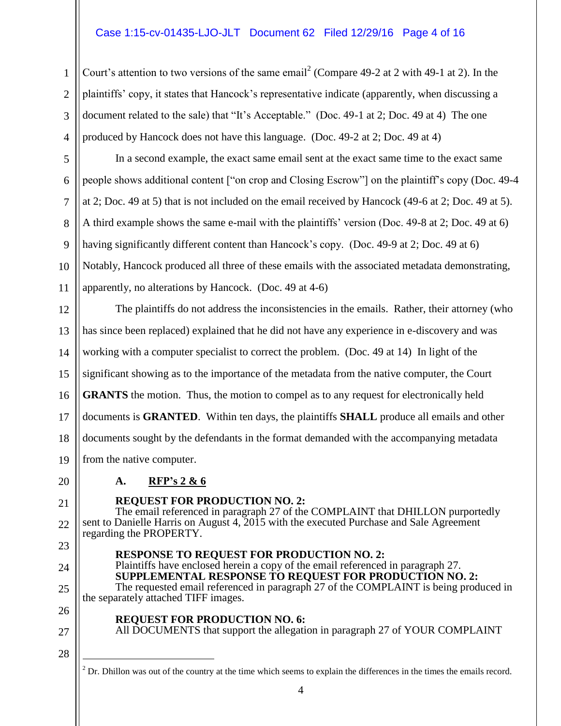#### Case 1:15-cv-01435-LJO-JLT Document 62 Filed 12/29/16 Page 4 of 16

Court's attention to two versions of the same email<sup>2</sup> (Compare 49-2 at 2 with 49-1 at 2). In the plaintiffs' copy, it states that Hancock's representative indicate (apparently, when discussing a document related to the sale) that "It's Acceptable." (Doc. 49-1 at 2; Doc. 49 at 4) The one produced by Hancock does not have this language. (Doc. 49-2 at 2; Doc. 49 at 4)

In a second example, the exact same email sent at the exact same time to the exact same people shows additional content ["on crop and Closing Escrow"] on the plaintiff's copy (Doc. 49-4 at 2; Doc. 49 at 5) that is not included on the email received by Hancock (49-6 at 2; Doc. 49 at 5). A third example shows the same e-mail with the plaintiffs' version (Doc. 49-8 at 2; Doc. 49 at 6) having significantly different content than Hancock's copy. (Doc. 49-9 at 2; Doc. 49 at 6) Notably, Hancock produced all three of these emails with the associated metadata demonstrating, apparently, no alterations by Hancock. (Doc. 49 at 4-6)

12 13 14 15 16 17 18 19 The plaintiffs do not address the inconsistencies in the emails. Rather, their attorney (who has since been replaced) explained that he did not have any experience in e-discovery and was working with a computer specialist to correct the problem. (Doc. 49 at 14) In light of the significant showing as to the importance of the metadata from the native computer, the Court **GRANTS** the motion. Thus, the motion to compel as to any request for electronically held documents is **GRANTED**. Within ten days, the plaintiffs **SHALL** produce all emails and other documents sought by the defendants in the format demanded with the accompanying metadata from the native computer.

20

21

23

24

25

1

2

3

4

5

6

7

8

9

10

11

## **REQUEST FOR PRODUCTION NO. 2:**

**A. RFP's 2 & 6**

22 The email referenced in paragraph 27 of the COMPLAINT that DHILLON purportedly sent to Danielle Harris on August 4, 2015 with the executed Purchase and Sale Agreement regarding the PROPERTY.

**RESPONSE TO REQUEST FOR PRODUCTION NO. 2:**

Plaintiffs have enclosed herein a copy of the email referenced in paragraph 27. **SUPPLEMENTAL RESPONSE TO REQUEST FOR PRODUCTION NO. 2:** The requested email referenced in paragraph 27 of the COMPLAINT is being produced in the separately attached TIFF images.

26

**REQUEST FOR PRODUCTION NO. 6:** 

All DOCUMENTS that support the allegation in paragraph 27 of YOUR COMPLAINT

28

 $\overline{a}$ 

27

 $2^2$  Dr. Dhillon was out of the country at the time which seems to explain the differences in the times the emails record.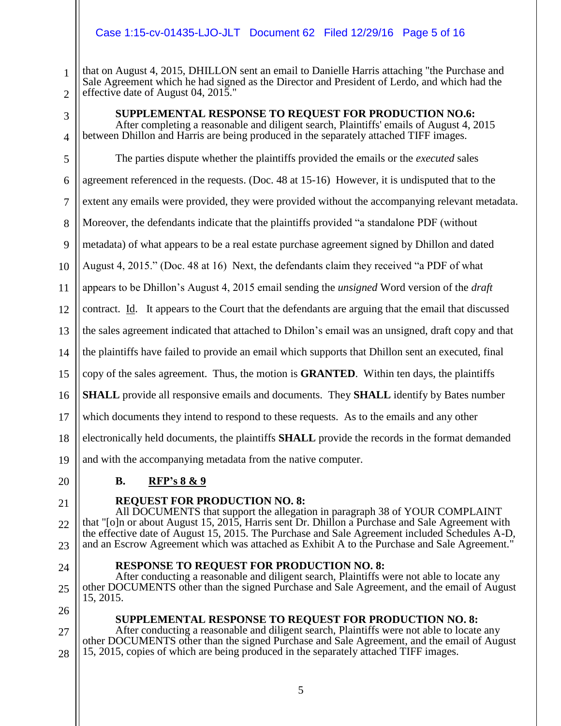#### Case 1:15-cv-01435-LJO-JLT Document 62 Filed 12/29/16 Page 5 of 16

1 2 that on August 4, 2015, DHILLON sent an email to Danielle Harris attaching "the Purchase and Sale Agreement which he had signed as the Director and President of Lerdo, and which had the effective date of August 04, 2015."

3

4

5

#### **SUPPLEMENTAL RESPONSE TO REQUEST FOR PRODUCTION NO.6:**

After completing a reasonable and diligent search, Plaintiffs' emails of August 4, 2015 between Dhillon and Harris are being produced in the separately attached TIFF images.

The parties dispute whether the plaintiffs provided the emails or the *executed* sales

6 agreement referenced in the requests. (Doc. 48 at 15-16) However, it is undisputed that to the

7 extent any emails were provided, they were provided without the accompanying relevant metadata.

8 Moreover, the defendants indicate that the plaintiffs provided "a standalone PDF (without

9 metadata) of what appears to be a real estate purchase agreement signed by Dhillon and dated

10 August 4, 2015." (Doc. 48 at 16) Next, the defendants claim they received "a PDF of what

11 appears to be Dhillon's August 4, 2015 email sending the *unsigned* Word version of the *draft*

12 contract. Id. It appears to the Court that the defendants are arguing that the email that discussed

13 the sales agreement indicated that attached to Dhilon's email was an unsigned, draft copy and that

14 the plaintiffs have failed to provide an email which supports that Dhillon sent an executed, final

15 copy of the sales agreement. Thus, the motion is **GRANTED**. Within ten days, the plaintiffs

16 **SHALL** provide all responsive emails and documents. They **SHALL** identify by Bates number

17 which documents they intend to respond to these requests. As to the emails and any other

**RESPONSE TO REQUEST FOR PRODUCTION NO. 8:**

18 electronically held documents, the plaintiffs **SHALL** provide the records in the format demanded

19 and with the accompanying metadata from the native computer.

20

### **B. RFP's 8 & 9**

#### 21

#### **REQUEST FOR PRODUCTION NO. 8:**

22 23 All DOCUMENTS that support the allegation in paragraph 38 of YOUR COMPLAINT that "[o]n or about August 15, 2015, Harris sent Dr. Dhillon a Purchase and Sale Agreement with the effective date of August 15, 2015. The Purchase and Sale Agreement included Schedules A-D, and an Escrow Agreement which was attached as Exhibit A to the Purchase and Sale Agreement."

- 24
- 25

26

15, 2015.

27

### **SUPPLEMENTAL RESPONSE TO REQUEST FOR PRODUCTION NO. 8:**

After conducting a reasonable and diligent search, Plaintiffs were not able to locate any other DOCUMENTS other than the signed Purchase and Sale Agreement, and the email of August

28 After conducting a reasonable and diligent search, Plaintiffs were not able to locate any other DOCUMENTS other than the signed Purchase and Sale Agreement, and the email of August 15, 2015, copies of which are being produced in the separately attached TIFF images.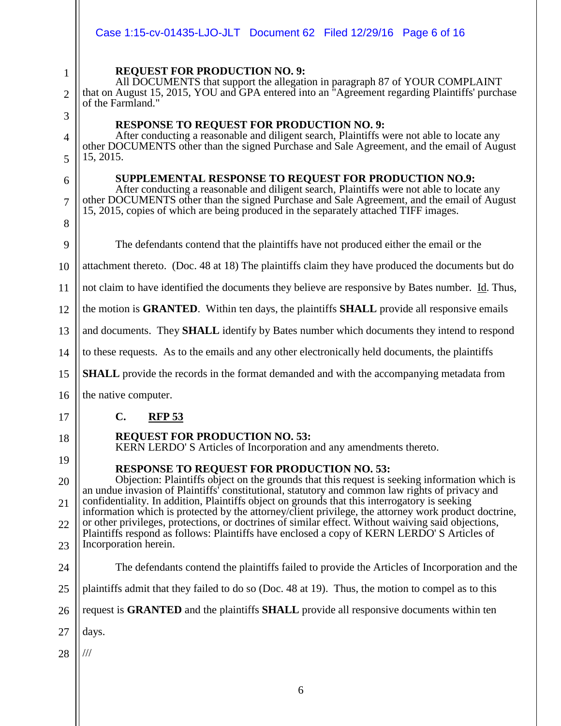|                | Case 1:15-cv-01435-LJO-JLT  Document 62  Filed 12/29/16  Page 6 of 16                                                                                                                                                                                                           |
|----------------|---------------------------------------------------------------------------------------------------------------------------------------------------------------------------------------------------------------------------------------------------------------------------------|
| $\mathbf 1$    | <b>REQUEST FOR PRODUCTION NO. 9:</b><br>All DOCUMENTS that support the allegation in paragraph 87 of YOUR COMPLAINT                                                                                                                                                             |
| $\overline{2}$ | that on August 15, 2015, YOU and GPA entered into an "Agreement regarding Plaintiffs' purchase<br>of the Farmland."                                                                                                                                                             |
| 3              | <b>RESPONSE TO REQUEST FOR PRODUCTION NO. 9:</b>                                                                                                                                                                                                                                |
| 4<br>5         | After conducting a reasonable and diligent search, Plaintiffs were not able to locate any<br>other DOCUMENTS other than the signed Purchase and Sale Agreement, and the email of August<br>15, 2015.                                                                            |
| 6              | SUPPLEMENTAL RESPONSE TO REQUEST FOR PRODUCTION NO.9:                                                                                                                                                                                                                           |
| $\overline{7}$ | After conducting a reasonable and diligent search, Plaintiffs were not able to locate any<br>other DOCUMENTS other than the signed Purchase and Sale Agreement, and the email of August<br>15, 2015, copies of which are being produced in the separately attached TIFF images. |
| 8              |                                                                                                                                                                                                                                                                                 |
| 9              | The defendants contend that the plaintiffs have not produced either the email or the                                                                                                                                                                                            |
| 10             | attachment thereto. (Doc. 48 at 18) The plaintiffs claim they have produced the documents but do                                                                                                                                                                                |
| 11             | not claim to have identified the documents they believe are responsive by Bates number. Id. Thus,                                                                                                                                                                               |
| 12             | the motion is <b>GRANTED</b> . Within ten days, the plaintiffs <b>SHALL</b> provide all responsive emails                                                                                                                                                                       |
| 13             | and documents. They <b>SHALL</b> identify by Bates number which documents they intend to respond                                                                                                                                                                                |
| 14             | to these requests. As to the emails and any other electronically held documents, the plaintiffs                                                                                                                                                                                 |
| 15             | <b>SHALL</b> provide the records in the format demanded and with the accompanying metadata from                                                                                                                                                                                 |
| 16             | the native computer.                                                                                                                                                                                                                                                            |
| 17             | C.<br><b>RFP 53</b>                                                                                                                                                                                                                                                             |
| 18             | <b>REQUEST FOR PRODUCTION NO. 53:</b><br>KERN LERDO'S Articles of Incorporation and any amendments thereto.                                                                                                                                                                     |
| 19             | <b>RESPONSE TO REQUEST FOR PRODUCTION NO. 53:</b>                                                                                                                                                                                                                               |
| 20             | Objection: Plaintiffs object on the grounds that this request is seeking information which is<br>an undue invasion of Plaintiffs' constitutional, statutory and common law rights of privacy and                                                                                |
| 21             | confidentiality. In addition, Plaintiffs object on grounds that this interrogatory is seeking<br>information which is protected by the attorney/client privilege, the attorney work product doctrine,                                                                           |
| 22             | or other privileges, protections, or doctrines of similar effect. Without waiving said objections,<br>Plaintiffs respond as follows: Plaintiffs have enclosed a copy of KERN LERDO'S Articles of                                                                                |
| 23             | Incorporation herein.                                                                                                                                                                                                                                                           |
| 24             | The defendants contend the plaintiffs failed to provide the Articles of Incorporation and the                                                                                                                                                                                   |
| 25             | plaintiffs admit that they failed to do so (Doc. 48 at 19). Thus, the motion to compel as to this                                                                                                                                                                               |
| 26             | request is <b>GRANTED</b> and the plaintiffs <b>SHALL</b> provide all responsive documents within ten                                                                                                                                                                           |
| 27             | days.                                                                                                                                                                                                                                                                           |
| 28             | ///                                                                                                                                                                                                                                                                             |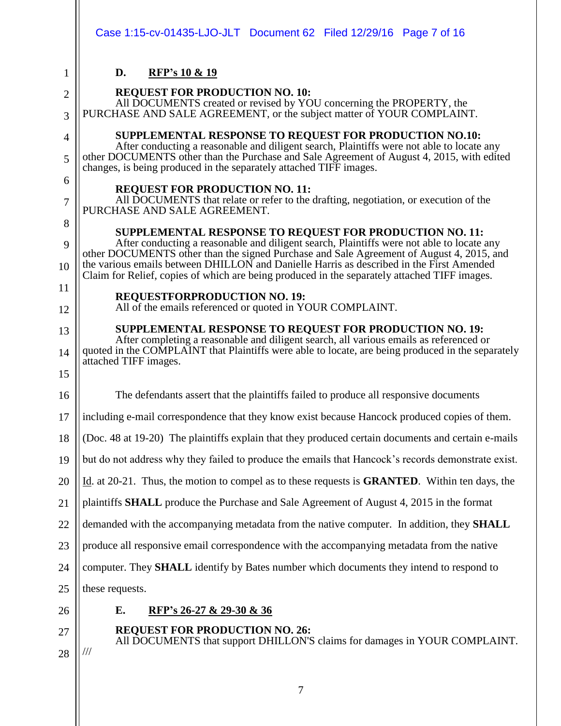|                     | Case 1:15-cv-01435-LJO-JLT  Document 62  Filed 12/29/16  Page 7 of 16                                                                                                                                                                                                                                                                                                                                                                        |
|---------------------|----------------------------------------------------------------------------------------------------------------------------------------------------------------------------------------------------------------------------------------------------------------------------------------------------------------------------------------------------------------------------------------------------------------------------------------------|
| 1                   | D.<br><b>RFP's 10 &amp; 19</b>                                                                                                                                                                                                                                                                                                                                                                                                               |
| $\overline{2}$<br>3 | <b>REQUEST FOR PRODUCTION NO. 10:</b><br>All DOCUMENTS created or revised by YOU concerning the PROPERTY, the<br>PURCHASE AND SALE AGREEMENT, or the subject matter of YOUR COMPLAINT.                                                                                                                                                                                                                                                       |
| 4<br>5              | SUPPLEMENTAL RESPONSE TO REQUEST FOR PRODUCTION NO.10:<br>After conducting a reasonable and diligent search, Plaintiffs were not able to locate any<br>other DOCUMENTS other than the Purchase and Sale Agreement of August 4, 2015, with edited<br>changes, is being produced in the separately attached TIFF images.                                                                                                                       |
| 6<br>7              | <b>REQUEST FOR PRODUCTION NO. 11:</b><br>All DOCUMENTS that relate or refer to the drafting, negotiation, or execution of the<br>PURCHASE AND SALE AGREEMENT.                                                                                                                                                                                                                                                                                |
| 8<br>9<br>10        | SUPPLEMENTAL RESPONSE TO REQUEST FOR PRODUCTION NO. 11:<br>After conducting a reasonable and diligent search, Plaintiffs were not able to locate any<br>other DOCUMENTS other than the signed Purchase and Sale Agreement of August 4, 2015, and<br>the various emails between DHILLON and Danielle Harris as described in the First Amended<br>Claim for Relief, copies of which are being produced in the separately attached TIFF images. |
| 11<br>12            | <b>REQUESTFORPRODUCTION NO. 19:</b><br>All of the emails referenced or quoted in YOUR COMPLAINT.                                                                                                                                                                                                                                                                                                                                             |
| 13<br>14<br>15      | <b>SUPPLEMENTAL RESPONSE TO REQUEST FOR PRODUCTION NO. 19:</b><br>After completing a reasonable and diligent search, all various emails as referenced or<br>quoted in the COMPLAINT that Plaintiffs were able to locate, are being produced in the separately<br>attached TIFF images.                                                                                                                                                       |
| 16                  | The defendants assert that the plaintiffs failed to produce all responsive documents                                                                                                                                                                                                                                                                                                                                                         |
| 17                  | including e-mail correspondence that they know exist because Hancock produced copies of them.                                                                                                                                                                                                                                                                                                                                                |
| 18                  | (Doc. 48 at 19-20) The plaintiffs explain that they produced certain documents and certain e-mails                                                                                                                                                                                                                                                                                                                                           |
| 19                  | but do not address why they failed to produce the emails that Hancock's records demonstrate exist.                                                                                                                                                                                                                                                                                                                                           |
| 20                  | Id. at 20-21. Thus, the motion to compel as to these requests is <b>GRANTED</b> . Within ten days, the                                                                                                                                                                                                                                                                                                                                       |
| 21                  | plaintiffs <b>SHALL</b> produce the Purchase and Sale Agreement of August 4, 2015 in the format                                                                                                                                                                                                                                                                                                                                              |
| 22                  | demanded with the accompanying metadata from the native computer. In addition, they SHALL                                                                                                                                                                                                                                                                                                                                                    |
| 23                  | produce all responsive email correspondence with the accompanying metadata from the native                                                                                                                                                                                                                                                                                                                                                   |
| 24                  | computer. They <b>SHALL</b> identify by Bates number which documents they intend to respond to                                                                                                                                                                                                                                                                                                                                               |
| 25                  | these requests.                                                                                                                                                                                                                                                                                                                                                                                                                              |
| 26                  | Е.<br>RFP's 26-27 & 29-30 & 36                                                                                                                                                                                                                                                                                                                                                                                                               |
| 27                  | <b>REQUEST FOR PRODUCTION NO. 26:</b><br>All DOCUMENTS that support DHILLON'S claims for damages in YOUR COMPLAINT.                                                                                                                                                                                                                                                                                                                          |
| 28                  | $\frac{1}{1}$                                                                                                                                                                                                                                                                                                                                                                                                                                |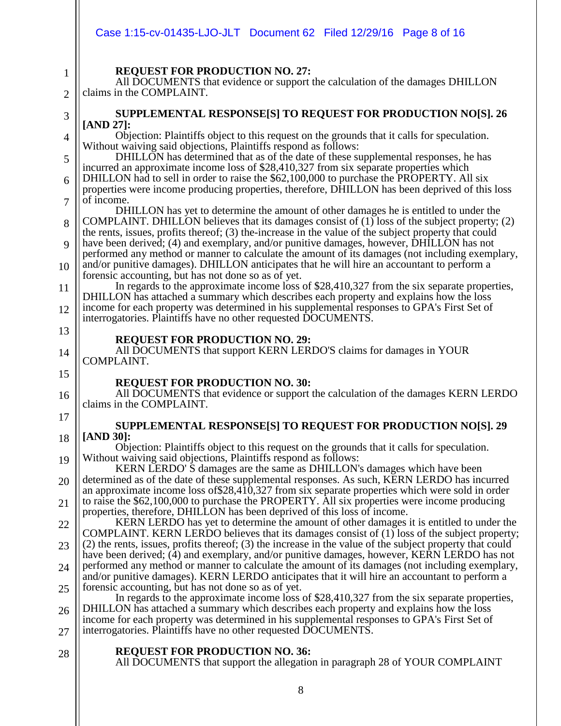|                | Case 1:15-cv-01435-LJO-JLT  Document 62  Filed 12/29/16  Page 8 of 16                                                                                                                                                                                   |
|----------------|---------------------------------------------------------------------------------------------------------------------------------------------------------------------------------------------------------------------------------------------------------|
| $\mathbf{1}$   | <b>REQUEST FOR PRODUCTION NO. 27:</b>                                                                                                                                                                                                                   |
| $\overline{2}$ | All DOCUMENTS that evidence or support the calculation of the damages DHILLON<br>claims in the COMPLAINT.                                                                                                                                               |
| 3              | SUPPLEMENTAL RESPONSE[S] TO REQUEST FOR PRODUCTION NO[S]. 26                                                                                                                                                                                            |
| 4              | [AND 27]:<br>Objection: Plaintiffs object to this request on the grounds that it calls for speculation.                                                                                                                                                 |
| 5              | Without waiving said objections, Plaintiffs respond as follows:<br>DHILLON has determined that as of the date of these supplemental responses, he has                                                                                                   |
| 6              | incurred an approximate income loss of \$28,410,327 from six separate properties which<br>DHILLON had to sell in order to raise the \$62,100,000 to purchase the PROPERTY. All six                                                                      |
| 7              | properties were income producing properties, therefore, DHILLON has been deprived of this loss<br>of income.                                                                                                                                            |
| 8              | DHILLON has yet to determine the amount of other damages he is entitled to under the<br>COMPLAINT. DHILLON believes that its damages consist of $(1)$ loss of the subject property; $(2)$                                                               |
| 9              | the rents, issues, profits thereof; (3) the-increase in the value of the subject property that could<br>have been derived; (4) and exemplary, and/or punitive damages, however, DHILLON has not                                                         |
| 10             | performed any method or manner to calculate the amount of its damages (not including exemplary,<br>and/or punitive damages). DHILLON anticipates that he will hire an accountant to perform a                                                           |
| 11             | forensic accounting, but has not done so as of yet.<br>In regards to the approximate income loss of \$28,410,327 from the six separate properties,                                                                                                      |
| 12             | DHILLON has attached a summary which describes each property and explains how the loss<br>income for each property was determined in his supplemental responses to GPA's First Set of<br>interrogatories. Plaintiffs have no other requested DOCUMENTS. |
| 13             | <b>REQUEST FOR PRODUCTION NO. 29:</b>                                                                                                                                                                                                                   |
| 14             | All DOCUMENTS that support KERN LERDO'S claims for damages in YOUR<br>COMPLAINT.                                                                                                                                                                        |
| 15             | <b>REQUEST FOR PRODUCTION NO. 30:</b>                                                                                                                                                                                                                   |
| 16             | All DOCUMENTS that evidence or support the calculation of the damages KERN LERDO<br>claims in the COMPLAINT.                                                                                                                                            |
| 17             | SUPPLEMENTAL RESPONSE[S] TO REQUEST FOR PRODUCTION NO[S]. 29                                                                                                                                                                                            |
| 18             | [AND 30]:<br>Objection: Plaintiffs object to this request on the grounds that it calls for speculation.                                                                                                                                                 |
| 19             | Without waiving said objections, Plaintiffs respond as follows:<br>KERN LERDO'S damages are the same as DHILLON's damages which have been                                                                                                               |
| 20             | determined as of the date of these supplemental responses. As such, KERN LERDO has incurred<br>an approximate income loss of \$28,410,327 from six separate properties which were sold in order                                                         |
| 21             | to raise the \$62,100,000 to purchase the PROPERTY. All six properties were income producing<br>properties, therefore, DHILLON has been deprived of this loss of income.                                                                                |
| 22             | KERN LERDO has yet to determine the amount of other damages it is entitled to under the<br>COMPLAINT. KERN LERDO believes that its damages consist of (1) loss of the subject property;                                                                 |
| 23             | (2) the rents, issues, profits thereof; (3) the increase in the value of the subject property that could<br>have been derived; (4) and exemplary, and/or punitive damages, however, KERN LERDO has not                                                  |
| 24             | performed any method or manner to calculate the amount of its damages (not including exemplary,<br>and/or punitive damages). KERN LERDO anticipates that it will hire an accountant to perform a                                                        |
| 25             | forensic accounting, but has not done so as of yet.                                                                                                                                                                                                     |
| 26             | In regards to the approximate income loss of \$28,410,327 from the six separate properties,<br>DHILLON has attached a summary which describes each property and explains how the loss                                                                   |
| 27             | income for each property was determined in his supplemental responses to GPA's First Set of<br>interrogatories. Plaintiffs have no other requested DOCUMENTS.                                                                                           |
| 28             | <b>REQUEST FOR PRODUCTION NO. 36:</b><br>All DOCUMENTS that support the allegation in paragraph 28 of YOUR COMPLAINT                                                                                                                                    |
|                | 8                                                                                                                                                                                                                                                       |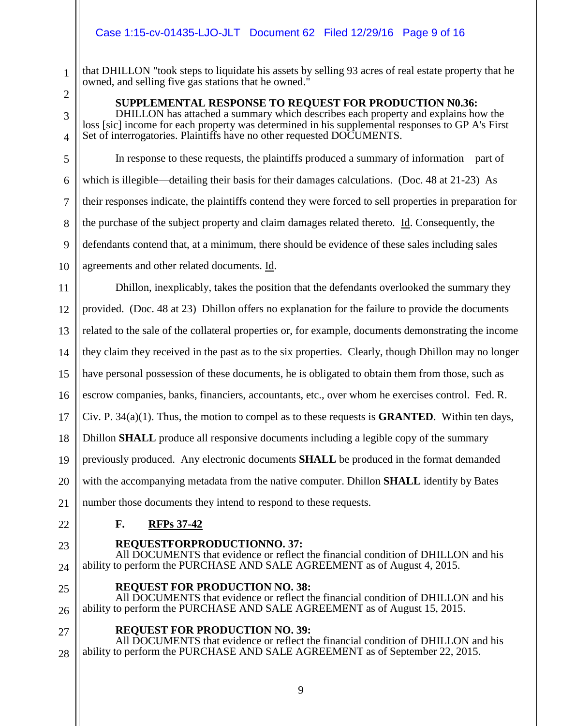#### Case 1:15-cv-01435-LJO-JLT Document 62 Filed 12/29/16 Page 9 of 16

that DHILLON "took steps to liquidate his assets by selling 93 acres of real estate property that he owned, and selling five gas stations that he owned."

2 3

4

1

**SUPPLEMENTAL RESPONSE TO REQUEST FOR PRODUCTION N0.36:**

DHILLON has attached a summary which describes each property and explains how the loss [sic] income for each property was determined in his supplemental responses to GP A's First Set of interrogatories. Plaintiffs have no other requested DOCUMENTS.

5 6 7 8 9 10 In response to these requests, the plaintiffs produced a summary of information—part of which is illegible—detailing their basis for their damages calculations. (Doc. 48 at 21-23) As their responses indicate, the plaintiffs contend they were forced to sell properties in preparation for the purchase of the subject property and claim damages related thereto. Id. Consequently, the defendants contend that, at a minimum, there should be evidence of these sales including sales agreements and other related documents. Id.

11 12 13 14 15 16 17 18 19 Dhillon, inexplicably, takes the position that the defendants overlooked the summary they provided. (Doc. 48 at 23) Dhillon offers no explanation for the failure to provide the documents related to the sale of the collateral properties or, for example, documents demonstrating the income they claim they received in the past as to the six properties. Clearly, though Dhillon may no longer have personal possession of these documents, he is obligated to obtain them from those, such as escrow companies, banks, financiers, accountants, etc., over whom he exercises control. Fed. R. Civ. P. 34(a)(1). Thus, the motion to compel as to these requests is **GRANTED**. Within ten days, Dhillon **SHALL** produce all responsive documents including a legible copy of the summary previously produced. Any electronic documents **SHALL** be produced in the format demanded

20 with the accompanying metadata from the native computer. Dhillon **SHALL** identify by Bates

21 number those documents they intend to respond to these requests.

22

### **F. RFPs 37-42**

23

24

### **REQUESTFORPRODUCTIONNO. 37:**

All DOCUMENTS that evidence or reflect the financial condition of DHILLON and his ability to perform the PURCHASE AND SALE AGREEMENT as of August 4, 2015.

**REQUEST FOR PRODUCTION NO. 38:**

25 26 All DOCUMENTS that evidence or reflect the financial condition of DHILLON and his ability to perform the PURCHASE AND SALE AGREEMENT as of August 15, 2015.

#### **REQUEST FOR PRODUCTION NO. 39:**

27 28 All DOCUMENTS that evidence or reflect the financial condition of DHILLON and his ability to perform the PURCHASE AND SALE AGREEMENT as of September 22, 2015.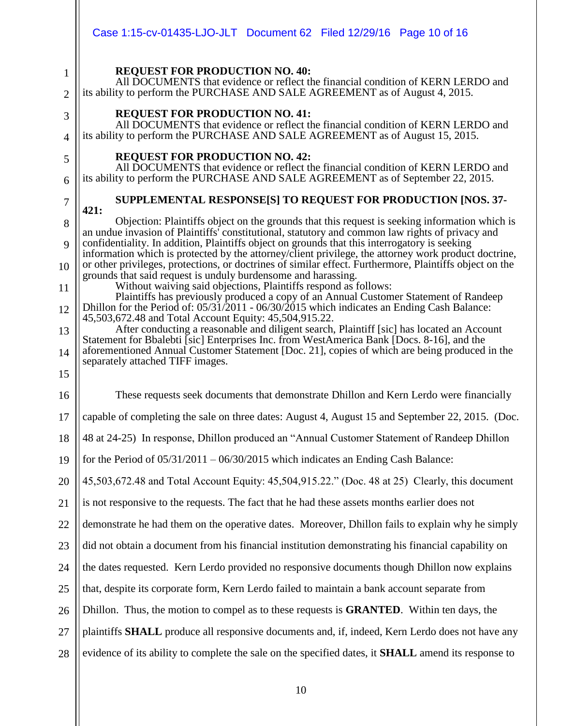|                     | Case 1:15-cv-01435-LJO-JLT  Document 62  Filed 12/29/16  Page 10 of 16                                                                                                                                                                                                                                   |
|---------------------|----------------------------------------------------------------------------------------------------------------------------------------------------------------------------------------------------------------------------------------------------------------------------------------------------------|
| 1                   | <b>REQUEST FOR PRODUCTION NO. 40:</b><br>All DOCUMENTS that evidence or reflect the financial condition of KERN LERDO and                                                                                                                                                                                |
| $\overline{2}$      | its ability to perform the PURCHASE AND SALE AGREEMENT as of August 4, 2015.                                                                                                                                                                                                                             |
| 3<br>$\overline{4}$ | <b>REQUEST FOR PRODUCTION NO. 41:</b><br>All DOCUMENTS that evidence or reflect the financial condition of KERN LERDO and<br>its ability to perform the PURCHASE AND SALE AGREEMENT as of August 15, 2015.                                                                                               |
| 5<br>6              | <b>REQUEST FOR PRODUCTION NO. 42:</b><br>All DOCUMENTS that evidence or reflect the financial condition of KERN LERDO and<br>its ability to perform the PURCHASE AND SALE AGREEMENT as of September 22, 2015.                                                                                            |
| 7                   | SUPPLEMENTAL RESPONSE[S] TO REQUEST FOR PRODUCTION [NOS. 37-                                                                                                                                                                                                                                             |
| 8                   | 421:<br>Objection: Plaintiffs object on the grounds that this request is seeking information which is                                                                                                                                                                                                    |
| 9                   | an undue invasion of Plaintiffs' constitutional, statutory and common law rights of privacy and<br>confidentiality. In addition, Plaintiffs object on grounds that this interrogatory is seeking<br>information which is protected by the attorney/client privilege, the attorney work product doctrine, |
| 10                  | or other privileges, protections, or doctrines of similar effect. Furthermore, Plaintiffs object on the<br>grounds that said request is unduly burdensome and harassing.                                                                                                                                 |
| 11                  | Without waiving said objections, Plaintiffs respond as follows:<br>Plaintiffs has previously produced a copy of an Annual Customer Statement of Randeep                                                                                                                                                  |
| 12                  | Dhillon for the Period of: $05/31/2011 - 06/30/2015$ which indicates an Ending Cash Balance:<br>45,503,672.48 and Total Account Equity: 45,504,915.22.                                                                                                                                                   |
| 13                  | After conducting a reasonable and diligent search, Plaintiff [sic] has located an Account<br>Statement for Bbalebti [sic] Enterprises Inc. from WestAmerica Bank [Docs. 8-16], and the                                                                                                                   |
| 14                  | aforementioned Annual Customer Statement [Doc. 21], copies of which are being produced in the<br>separately attached TIFF images.                                                                                                                                                                        |
| 15                  |                                                                                                                                                                                                                                                                                                          |
| 16                  | These requests seek documents that demonstrate Dhillon and Kern Lerdo were financially                                                                                                                                                                                                                   |
| 17                  | capable of completing the sale on three dates: August 4, August 15 and September 22, 2015. (Doc.                                                                                                                                                                                                         |
| 18                  | 48 at 24-25) In response, Dhillon produced an "Annual Customer Statement of Randeep Dhillon                                                                                                                                                                                                              |
| 19                  | for the Period of $05/31/2011 - 06/30/2015$ which indicates an Ending Cash Balance:                                                                                                                                                                                                                      |
| 20                  | 45,503,672.48 and Total Account Equity: 45,504,915.22." (Doc. 48 at 25) Clearly, this document                                                                                                                                                                                                           |
| 21                  | is not responsive to the requests. The fact that he had these assets months earlier does not                                                                                                                                                                                                             |
| 22                  | demonstrate he had them on the operative dates. Moreover, Dhillon fails to explain why he simply                                                                                                                                                                                                         |
| 23                  | did not obtain a document from his financial institution demonstrating his financial capability on                                                                                                                                                                                                       |
| 24                  | the dates requested. Kern Lerdo provided no responsive documents though Dhillon now explains                                                                                                                                                                                                             |
| 25                  | that, despite its corporate form, Kern Lerdo failed to maintain a bank account separate from                                                                                                                                                                                                             |
| 26                  | Dhillon. Thus, the motion to compel as to these requests is <b>GRANTED</b> . Within ten days, the                                                                                                                                                                                                        |
| 27                  | plaintiffs <b>SHALL</b> produce all responsive documents and, if, indeed, Kern Lerdo does not have any                                                                                                                                                                                                   |
| 28                  | evidence of its ability to complete the sale on the specified dates, it <b>SHALL</b> amend its response to                                                                                                                                                                                               |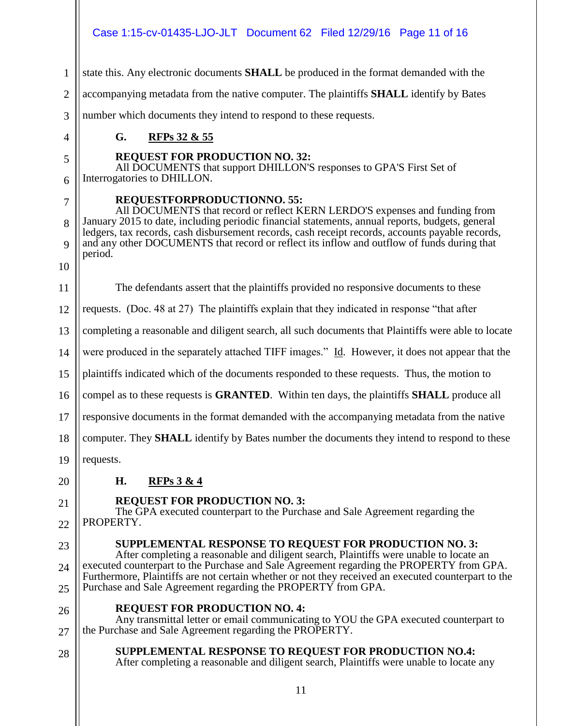#### Case 1:15-cv-01435-LJO-JLT Document 62 Filed 12/29/16 Page 11 of 16

1 state this. Any electronic documents **SHALL** be produced in the format demanded with the

2 accompanying metadata from the native computer. The plaintiffs **SHALL** identify by Bates

number which documents they intend to respond to these requests.

**G. RFPs 32 & 55**

#### **REQUEST FOR PRODUCTION NO. 32:**

All DOCUMENTS that support DHILLON'S responses to GPA'S First Set of Interrogatories to DHILLON.

6 7

8

9

10

3

4

5

#### **REQUESTFORPRODUCTIONNO. 55:**

All DOCUMENTS that record or reflect KERN LERDO'S expenses and funding from January 2015 to date, including periodic financial statements, annual reports, budgets, general ledgers, tax records, cash disbursement records, cash receipt records, accounts payable records, and any other DOCUMENTS that record or reflect its inflow and outflow of funds during that period.

11 The defendants assert that the plaintiffs provided no responsive documents to these

12 requests. (Doc. 48 at 27) The plaintiffs explain that they indicated in response "that after

13 completing a reasonable and diligent search, all such documents that Plaintiffs were able to locate

14 were produced in the separately attached TIFF images." Id. However, it does not appear that the

15 plaintiffs indicated which of the documents responded to these requests. Thus, the motion to

16 compel as to these requests is **GRANTED**. Within ten days, the plaintiffs **SHALL** produce all

17 responsive documents in the format demanded with the accompanying metadata from the native

18 computer. They **SHALL** identify by Bates number the documents they intend to respond to these

19 requests.

20

### **H. RFPs 3 & 4**

#### **REQUEST FOR PRODUCTION NO. 3:**

The GPA executed counterpart to the Purchase and Sale Agreement regarding the PROPERTY.

23

22

21

24

25

26

### **REQUEST FOR PRODUCTION NO. 4:**

Purchase and Sale Agreement regarding the PROPERTY from GPA.

27 Any transmittal letter or email communicating to YOU the GPA executed counterpart to the Purchase and Sale Agreement regarding the PROPERTY.

**SUPPLEMENTAL RESPONSE TO REQUEST FOR PRODUCTION NO. 3:** After completing a reasonable and diligent search, Plaintiffs were unable to locate an executed counterpart to the Purchase and Sale Agreement regarding the PROPERTY from GPA. Furthermore, Plaintiffs are not certain whether or not they received an executed counterpart to the

28 **SUPPLEMENTAL RESPONSE TO REQUEST FOR PRODUCTION NO.4:** After completing a reasonable and diligent search, Plaintiffs were unable to locate any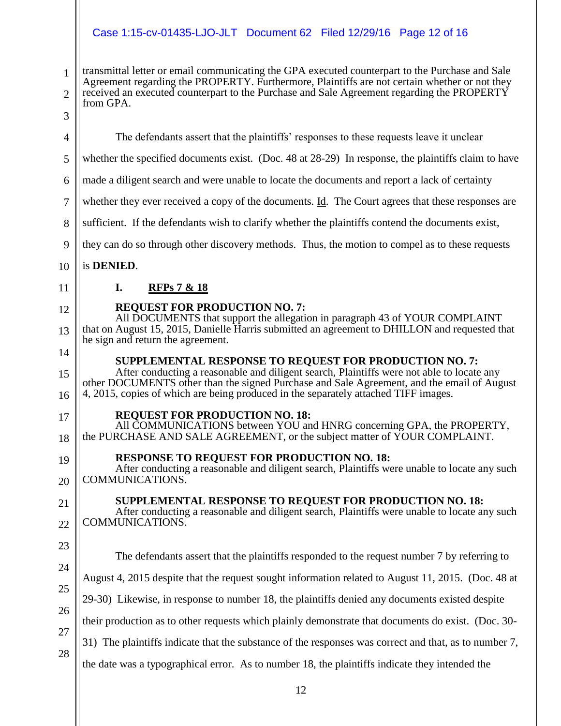# Case 1:15-cv-01435-LJO-JLT Document 62 Filed 12/29/16 Page 12 of 16

| $\mathbf{1}$   | transmittal letter or email communicating the GPA executed counterpart to the Purchase and Sale<br>Agreement regarding the PROPERTY. Furthermore, Plaintiffs are not certain whether or not they                                                                               |
|----------------|--------------------------------------------------------------------------------------------------------------------------------------------------------------------------------------------------------------------------------------------------------------------------------|
| $\overline{2}$ | received an executed counterpart to the Purchase and Sale Agreement regarding the PROPERTY<br>from GPA.                                                                                                                                                                        |
| 3              |                                                                                                                                                                                                                                                                                |
| $\overline{4}$ | The defendants assert that the plaintiffs' responses to these requests leave it unclear                                                                                                                                                                                        |
| 5              | whether the specified documents exist. (Doc. 48 at 28-29) In response, the plaintiffs claim to have                                                                                                                                                                            |
| 6              | made a diligent search and were unable to locate the documents and report a lack of certainty                                                                                                                                                                                  |
| 7              | whether they ever received a copy of the documents. Id. The Court agrees that these responses are                                                                                                                                                                              |
| 8              | sufficient. If the defendants wish to clarify whether the plaintiffs contend the documents exist,                                                                                                                                                                              |
| 9              | they can do so through other discovery methods. Thus, the motion to compel as to these requests                                                                                                                                                                                |
| 10             | is DENIED.                                                                                                                                                                                                                                                                     |
| 11             | I.<br><b>RFPs 7 &amp; 18</b>                                                                                                                                                                                                                                                   |
| 12             | <b>REQUEST FOR PRODUCTION NO. 7:</b><br>All DOCUMENTS that support the allegation in paragraph 43 of YOUR COMPLAINT                                                                                                                                                            |
| 13             | that on August 15, 2015, Danielle Harris submitted an agreement to DHILLON and requested that<br>he sign and return the agreement.                                                                                                                                             |
| 14             | SUPPLEMENTAL RESPONSE TO REQUEST FOR PRODUCTION NO. 7:                                                                                                                                                                                                                         |
| 15<br>16       | After conducting a reasonable and diligent search, Plaintiffs were not able to locate any<br>other DOCUMENTS other than the signed Purchase and Sale Agreement, and the email of August<br>4, 2015, copies of which are being produced in the separately attached TIFF images. |
| 17<br>18       | <b>REQUEST FOR PRODUCTION NO. 18:</b><br>All COMMUNICATIONS between YOU and HNRG concerning GPA, the PROPERTY,<br>the PURCHASE AND SALE AGREEMENT, or the subject matter of YOUR COMPLAINT.                                                                                    |
| 19             | <b>RESPONSE TO REQUEST FOR PRODUCTION NO. 18:</b>                                                                                                                                                                                                                              |
| 20             | After conducting a reasonable and diligent search, Plaintiffs were unable to locate any such<br>COMMUNICATIONS.                                                                                                                                                                |
| 21             | SUPPLEMENTAL RESPONSE TO REQUEST FOR PRODUCTION NO. 18:                                                                                                                                                                                                                        |
| 22             | After conducting a reasonable and diligent search, Plaintiffs were unable to locate any such<br>COMMUNICATIONS.                                                                                                                                                                |
| 23             |                                                                                                                                                                                                                                                                                |
| 24             | The defendants assert that the plaintiffs responded to the request number 7 by referring to                                                                                                                                                                                    |
| 25             | August 4, 2015 despite that the request sought information related to August 11, 2015. (Doc. 48 at                                                                                                                                                                             |
|                | 29-30) Likewise, in response to number 18, the plaintiffs denied any documents existed despite                                                                                                                                                                                 |
| 26<br>27       | their production as to other requests which plainly demonstrate that documents do exist. (Doc. 30-                                                                                                                                                                             |
|                | 31) The plaintiffs indicate that the substance of the responses was correct and that, as to number 7,                                                                                                                                                                          |
| 28             | the date was a typographical error. As to number 18, the plaintiffs indicate they intended the                                                                                                                                                                                 |
|                |                                                                                                                                                                                                                                                                                |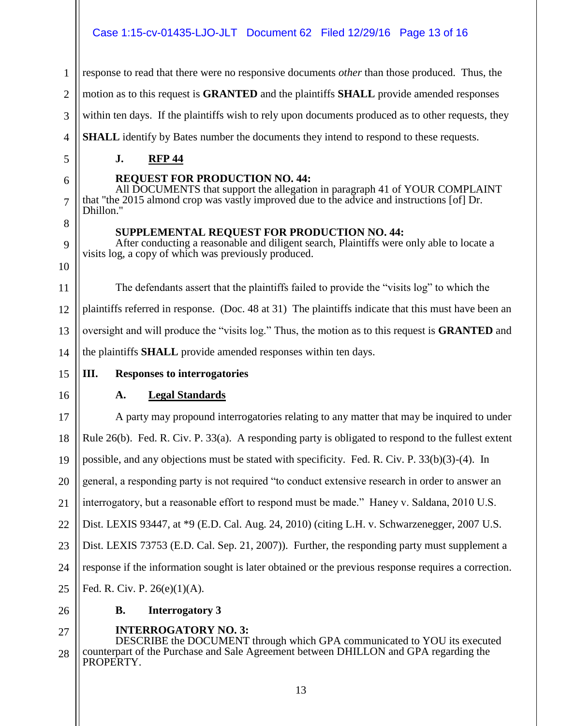#### Case 1:15-cv-01435-LJO-JLT Document 62 Filed 12/29/16 Page 13 of 16

response to read that there were no responsive documents *other* than those produced. Thus, the

2 motion as to this request is **GRANTED** and the plaintiffs **SHALL** provide amended responses

3 within ten days. If the plaintiffs wish to rely upon documents produced as to other requests, they

**SHALL** identify by Bates number the documents they intend to respond to these requests.

#### **J. RFP 44**

5 6

7

8

9

10

4

1

#### **REQUEST FOR PRODUCTION NO. 44:**

All DOCUMENTS that support the allegation in paragraph 41 of YOUR COMPLAINT that "the 2015 almond crop was vastly improved due to the advice and instructions [of] Dr. Dhillon."

#### **SUPPLEMENTAL REQUEST FOR PRODUCTION NO. 44:**

After conducting a reasonable and diligent search, Plaintiffs were only able to locate a visits log, a copy of which was previously produced.

11 12 13 14 The defendants assert that the plaintiffs failed to provide the "visits log" to which the plaintiffs referred in response. (Doc. 48 at 31) The plaintiffs indicate that this must have been an oversight and will produce the "visits log." Thus, the motion as to this request is **GRANTED** and the plaintiffs **SHALL** provide amended responses within ten days.

### **III. Responses to interrogatories**

16

15

### **A. Legal Standards**

17 18 19 20 21 22 23 24 25 A party may propound interrogatories relating to any matter that may be inquired to under Rule 26(b). Fed. R. Civ. P. 33(a). A responding party is obligated to respond to the fullest extent possible, and any objections must be stated with specificity. Fed. R. Civ. P. 33(b)(3)-(4). In general, a responding party is not required "to conduct extensive research in order to answer an interrogatory, but a reasonable effort to respond must be made." Haney v. Saldana, 2010 U.S. Dist. LEXIS 93447, at \*9 (E.D. Cal. Aug. 24, 2010) (citing L.H. v. Schwarzenegger, 2007 U.S. Dist. LEXIS 73753 (E.D. Cal. Sep. 21, 2007)). Further, the responding party must supplement a response if the information sought is later obtained or the previous response requires a correction. Fed. R. Civ. P. 26(e)(1)(A).

#### 26

**B. Interrogatory 3**

### **INTERROGATORY NO. 3:**

27 28 DESCRIBE the DOCUMENT through which GPA communicated to YOU its executed counterpart of the Purchase and Sale Agreement between DHILLON and GPA regarding the PROPERTY.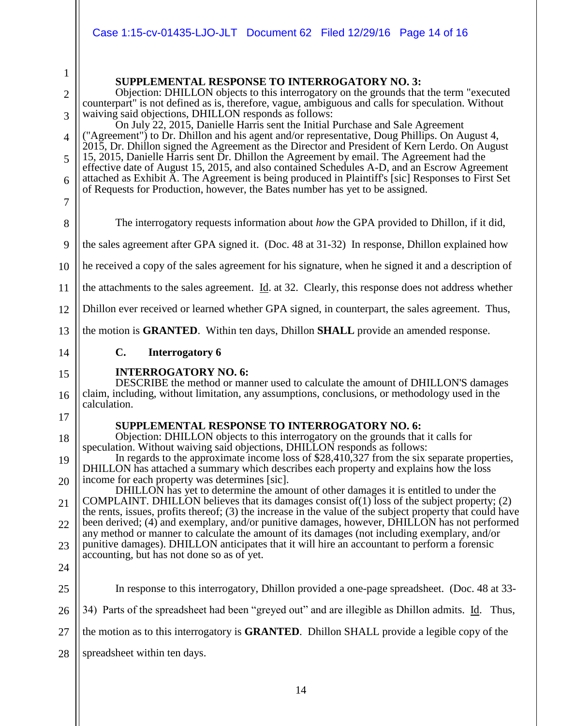|                                                                                   | Case 1:15-cv-01435-LJO-JLT  Document 62  Filed 12/29/16  Page 14  of 16                                                                                                                                                                                                                                                                                                                                                                                                                                                                                                                                                                                                                                                                                                                                                                                                                                                                                                                                                                                                                                                    |
|-----------------------------------------------------------------------------------|----------------------------------------------------------------------------------------------------------------------------------------------------------------------------------------------------------------------------------------------------------------------------------------------------------------------------------------------------------------------------------------------------------------------------------------------------------------------------------------------------------------------------------------------------------------------------------------------------------------------------------------------------------------------------------------------------------------------------------------------------------------------------------------------------------------------------------------------------------------------------------------------------------------------------------------------------------------------------------------------------------------------------------------------------------------------------------------------------------------------------|
| $\mathbf{1}$<br>$\overline{2}$<br>3<br>$\overline{4}$<br>5<br>6<br>$\overline{7}$ | <b>SUPPLEMENTAL RESPONSE TO INTERROGATORY NO. 3:</b><br>Objection: DHILLON objects to this interrogatory on the grounds that the term "executed<br>counterpart" is not defined as is, therefore, vague, ambiguous and calls for speculation. Without<br>waiving said objections, DHILLON responds as follows:<br>On July 22, 2015, Danielle Harris sent the Initial Purchase and Sale Agreement<br>("Agreement") to Dr. Dhillon and his agent and/or representative, Doug Phillips. On August 4,<br>2015, Dr. Dhillon signed the Agreement as the Director and President of Kern Lerdo. On August<br>15, 2015, Danielle Harris sent Dr. Dhillon the Agreement by email. The Agreement had the<br>effective date of August 15, 2015, and also contained Schedules A-D, and an Escrow Agreement<br>attached as Exhibit A. The Agreement is being produced in Plaintiff's [sic] Responses to First Set<br>of Requests for Production, however, the Bates number has yet to be assigned.                                                                                                                                       |
| 8                                                                                 | The interrogatory requests information about how the GPA provided to Dhillon, if it did,                                                                                                                                                                                                                                                                                                                                                                                                                                                                                                                                                                                                                                                                                                                                                                                                                                                                                                                                                                                                                                   |
| 9                                                                                 | the sales agreement after GPA signed it. (Doc. 48 at 31-32) In response, Dhillon explained how                                                                                                                                                                                                                                                                                                                                                                                                                                                                                                                                                                                                                                                                                                                                                                                                                                                                                                                                                                                                                             |
| 10                                                                                | the received a copy of the sales agreement for his signature, when he signed it and a description of                                                                                                                                                                                                                                                                                                                                                                                                                                                                                                                                                                                                                                                                                                                                                                                                                                                                                                                                                                                                                       |
| 11                                                                                | the attachments to the sales agreement. Id. at 32. Clearly, this response does not address whether                                                                                                                                                                                                                                                                                                                                                                                                                                                                                                                                                                                                                                                                                                                                                                                                                                                                                                                                                                                                                         |
| 12                                                                                | Dhillon ever received or learned whether GPA signed, in counterpart, the sales agreement. Thus,                                                                                                                                                                                                                                                                                                                                                                                                                                                                                                                                                                                                                                                                                                                                                                                                                                                                                                                                                                                                                            |
|                                                                                   | the motion is <b>GRANTED</b> . Within ten days, Dhillon <b>SHALL</b> provide an amended response.                                                                                                                                                                                                                                                                                                                                                                                                                                                                                                                                                                                                                                                                                                                                                                                                                                                                                                                                                                                                                          |
| 13                                                                                |                                                                                                                                                                                                                                                                                                                                                                                                                                                                                                                                                                                                                                                                                                                                                                                                                                                                                                                                                                                                                                                                                                                            |
| 14                                                                                | C.<br><b>Interrogatory 6</b>                                                                                                                                                                                                                                                                                                                                                                                                                                                                                                                                                                                                                                                                                                                                                                                                                                                                                                                                                                                                                                                                                               |
| 15<br>16                                                                          | <b>INTERROGATORY NO. 6:</b><br>DESCRIBE the method or manner used to calculate the amount of DHILLON'S damages<br>claim, including, without limitation, any assumptions, conclusions, or methodology used in the<br>calculation.                                                                                                                                                                                                                                                                                                                                                                                                                                                                                                                                                                                                                                                                                                                                                                                                                                                                                           |
| 17<br>18<br>19<br>20<br>21<br>22<br>23<br>24                                      | <b>SUPPLEMENTAL RESPONSE TO INTERROGATORY NO. 6:</b><br>Objection: DHILLON objects to this interrogatory on the grounds that it calls for<br>speculation. Without waiving said objections, DHILLON responds as follows:<br>In regards to the approximate income loss of \$28,410,327 from the six separate properties,<br>DHILLON has attached a summary which describes each property and explains how the loss<br>income for each property was determines [sic].<br>DHILLON has yet to determine the amount of other damages it is entitled to under the<br>COMPLAINT. DHILLON believes that its damages consist of $(1)$ loss of the subject property; $(2)$<br>the rents, issues, profits thereof; (3) the increase in the value of the subject property that could have<br>been derived; (4) and exemplary, and/or punitive damages, however, DHILLON has not performed<br>any method or manner to calculate the amount of its damages (not including exemplary, and/or<br>punitive damages). DHILLON anticipates that it will hire an accountant to perform a forensic<br>accounting, but has not done so as of yet. |
| 25                                                                                | In response to this interrogatory, Dhillon provided a one-page spreadsheet. (Doc. 48 at 33-                                                                                                                                                                                                                                                                                                                                                                                                                                                                                                                                                                                                                                                                                                                                                                                                                                                                                                                                                                                                                                |
| 26                                                                                | 34) Parts of the spreadsheet had been "greyed out" and are illegible as Dhillon admits. Id. Thus,                                                                                                                                                                                                                                                                                                                                                                                                                                                                                                                                                                                                                                                                                                                                                                                                                                                                                                                                                                                                                          |
| 27                                                                                | the motion as to this interrogatory is <b>GRANTED</b> . Dhillon SHALL provide a legible copy of the                                                                                                                                                                                                                                                                                                                                                                                                                                                                                                                                                                                                                                                                                                                                                                                                                                                                                                                                                                                                                        |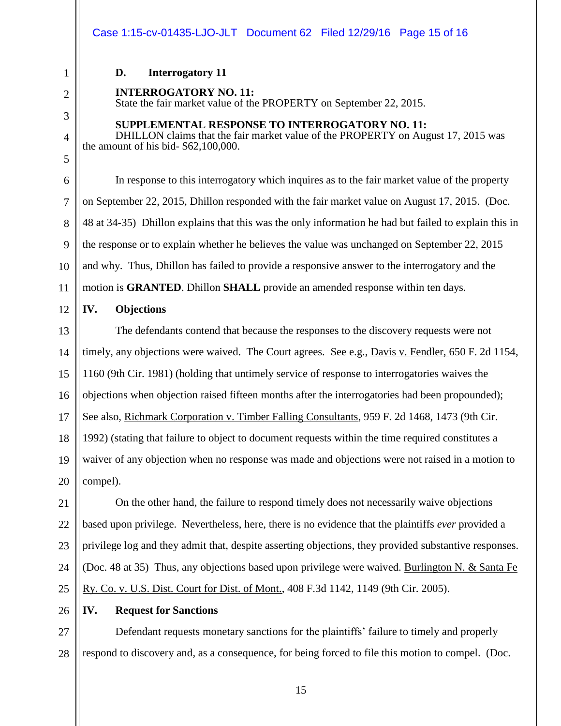State the fair market value of the PROPERTY on September 22, 2015.

**SUPPLEMENTAL RESPONSE TO INTERROGATORY NO. 11:**

# 1 2 3 4 5 6 7 8 9 10 11 12 13 14 15 16 17 18 19 20 21 22 23 24

25

26

### **IV. Request for Sanctions**

27 28 Defendant requests monetary sanctions for the plaintiffs' failure to timely and properly respond to discovery and, as a consequence, for being forced to file this motion to compel. (Doc.

In response to this interrogatory which inquires as to the fair market value of the property on September 22, 2015, Dhillon responded with the fair market value on August 17, 2015. (Doc. 48 at 34-35) Dhillon explains that this was the only information he had but failed to explain this in the response or to explain whether he believes the value was unchanged on September 22, 2015 and why. Thus, Dhillon has failed to provide a responsive answer to the interrogatory and the motion is **GRANTED**. Dhillon **SHALL** provide an amended response within ten days.

DHILLON claims that the fair market value of the PROPERTY on August 17, 2015 was

#### **IV. Objections**

**D. Interrogatory 11**

the amount of his bid- \$62,100,000.

**INTERROGATORY NO. 11:**

The defendants contend that because the responses to the discovery requests were not timely, any objections were waived. The Court agrees. See e.g., Davis v. Fendler, 650 F. 2d 1154, 1160 (9th Cir. 1981) (holding that untimely service of response to interrogatories waives the objections when objection raised fifteen months after the interrogatories had been propounded); See also, Richmark Corporation v. Timber Falling Consultants, 959 F. 2d 1468, 1473 (9th Cir. 1992) (stating that failure to object to document requests within the time required constitutes a waiver of any objection when no response was made and objections were not raised in a motion to

On the other hand, the failure to respond timely does not necessarily waive objections based upon privilege. Nevertheless, here, there is no evidence that the plaintiffs *ever* provided a privilege log and they admit that, despite asserting objections, they provided substantive responses. (Doc. 48 at 35) Thus, any objections based upon privilege were waived. Burlington N. & Santa Fe Ry. Co. v. U.S. Dist. Court for Dist. of Mont., 408 F.3d 1142, 1149 (9th Cir. 2005).

compel).